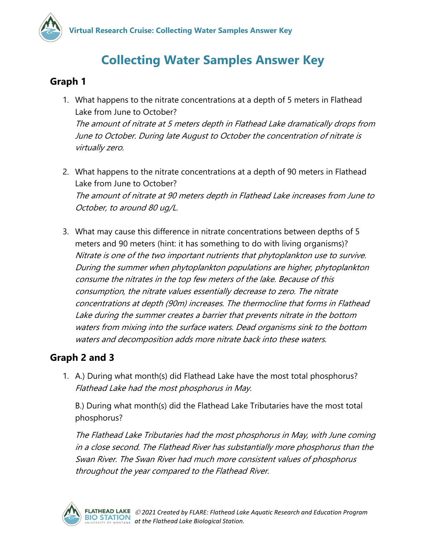## **Collecting Water Samples Answer Key**

## **Graph 1**

- 1. What happens to the nitrate concentrations at a depth of 5 meters in Flathead Lake from June to October? The amount of nitrate at 5 meters depth in Flathead Lake dramatically drops from June to October. During late August to October the concentration of nitrate is virtually zero.
- 2. What happens to the nitrate concentrations at a depth of 90 meters in Flathead Lake from June to October? The amount of nitrate at 90 meters depth in Flathead Lake increases from June to October, to around 80 ug/L.
- 3. What may cause this difference in nitrate concentrations between depths of 5 meters and 90 meters (hint: it has something to do with living organisms)? Nitrate is one of the two important nutrients that phytoplankton use to survive. During the summer when phytoplankton populations are higher, phytoplankton consume the nitrates in the top few meters of the lake. Because of this consumption, the nitrate values essentially decrease to zero. The nitrate concentrations at depth (90m) increases. The thermocline that forms in Flathead Lake during the summer creates a barrier that prevents nitrate in the bottom waters from mixing into the surface waters. Dead organisms sink to the bottom waters and decomposition adds more nitrate back into these waters.

## **Graph 2 and 3**

1. A.) During what month(s) did Flathead Lake have the most total phosphorus? Flathead Lake had the most phosphorus in May.

B.) During what month(s) did the Flathead Lake Tributaries have the most total phosphorus?

The Flathead Lake Tributaries had the most phosphorus in May, with June coming in a close second. The Flathead River has substantially more phosphorus than the Swan River. The Swan River had much more consistent values of phosphorus throughout the year compared to the Flathead River.